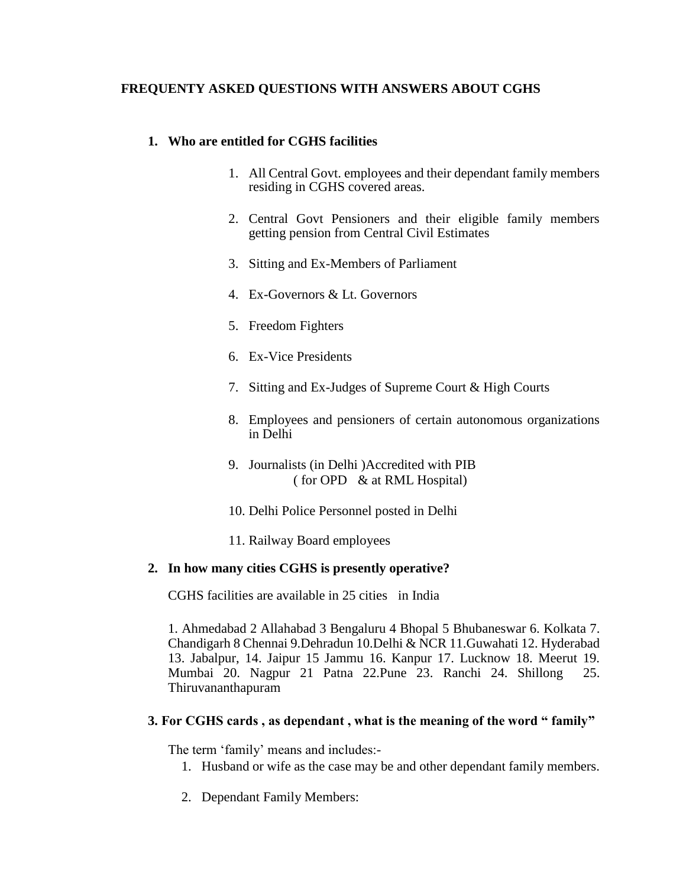# **FREQUENTY ASKED QUESTIONS WITH ANSWERS ABOUT CGHS**

# **1. Who are entitled for CGHS facilities**

- 1. All Central Govt. employees and their dependant family members residing in CGHS covered areas.
- 2. Central Govt Pensioners and their eligible family members getting pension from Central Civil Estimates
- 3. Sitting and Ex-Members of Parliament
- 4. Ex-Governors & Lt. Governors
- 5. Freedom Fighters
- 6. Ex-Vice Presidents
- 7. Sitting and Ex-Judges of Supreme Court & High Courts
- 8. Employees and pensioners of certain autonomous organizations in Delhi
- 9. Journalists (in Delhi )Accredited with PIB ( for OPD & at RML Hospital)
- 10. Delhi Police Personnel posted in Delhi
- 11. Railway Board employees

# **2. In how many cities CGHS is presently operative?**

CGHS facilities are available in 25 cities in India

1. Ahmedabad 2 Allahabad 3 Bengaluru 4 Bhopal 5 Bhubaneswar 6. Kolkata 7. Chandigarh 8 Chennai 9.Dehradun 10.Delhi & NCR 11.Guwahati 12. Hyderabad 13. Jabalpur, 14. Jaipur 15 Jammu 16. Kanpur 17. Lucknow 18. Meerut 19. Mumbai 20. Nagpur 21 Patna 22.Pune 23. Ranchi 24. Shillong 25. Thiruvananthapuram

# **3. For CGHS cards , as dependant , what is the meaning of the word " family"**

The term 'family' means and includes:-

- 1. Husband or wife as the case may be and other dependant family members.
- 2. Dependant Family Members: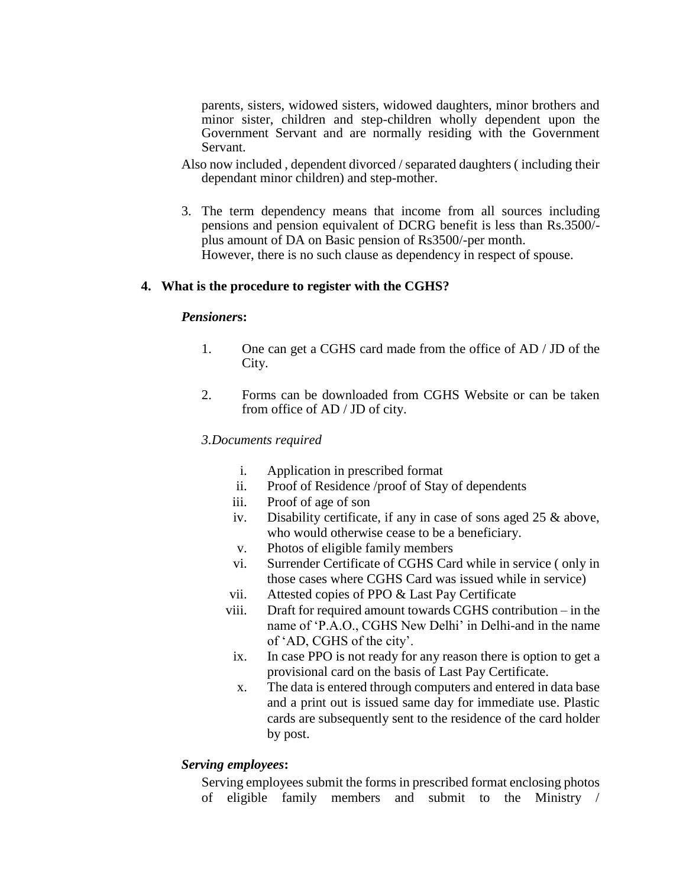parents, sisters, widowed sisters, widowed daughters, minor brothers and minor sister, children and step-children wholly dependent upon the Government Servant and are normally residing with the Government Servant.

- Also now included , dependent divorced / separated daughters ( including their dependant minor children) and step-mother.
- 3. The term dependency means that income from all sources including pensions and pension equivalent of DCRG benefit is less than Rs.3500/ plus amount of DA on Basic pension of Rs3500/-per month. However, there is no such clause as dependency in respect of spouse.

#### **4. What is the procedure to register with the CGHS?**

#### *Pensioner***s:**

- 1. One can get a CGHS card made from the office of AD / JD of the City.
- 2. Forms can be downloaded from CGHS Website or can be taken from office of AD / JD of city.

#### *3.Documents required*

- i. Application in prescribed format
- ii. Proof of Residence /proof of Stay of dependents
- iii. Proof of age of son
- iv. Disability certificate, if any in case of sons aged 25 & above, who would otherwise cease to be a beneficiary.
- v. Photos of eligible family members
- vi. Surrender Certificate of CGHS Card while in service ( only in those cases where CGHS Card was issued while in service)
- vii. Attested copies of PPO & Last Pay Certificate
- viii. Draft for required amount towards CGHS contribution in the name of 'P.A.O., CGHS New Delhi' in Delhi-and in the name of 'AD, CGHS of the city'.
	- ix. In case PPO is not ready for any reason there is option to get a provisional card on the basis of Last Pay Certificate.
	- x. The data is entered through computers and entered in data base and a print out is issued same day for immediate use. Plastic cards are subsequently sent to the residence of the card holder by post.

#### *Serving employees***:**

Serving employees submit the forms in prescribed format enclosing photos of eligible family members and submit to the Ministry /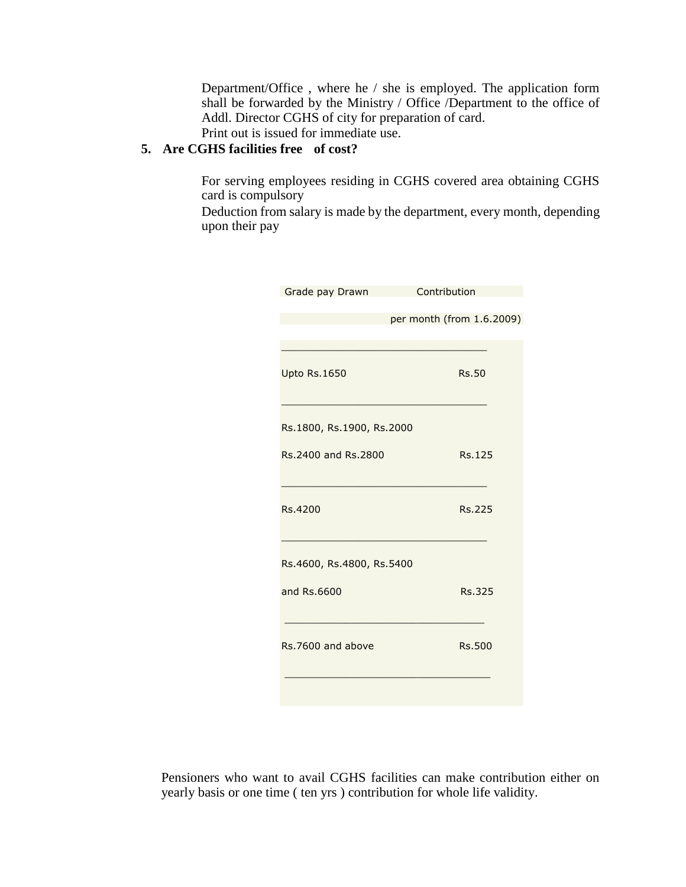Department/Office , where he / she is employed. The application form shall be forwarded by the Ministry / Office /Department to the office of Addl. Director CGHS of city for preparation of card.

Print out is issued for immediate use.

# **5. Are CGHS facilities free of cost?**

For serving employees residing in CGHS covered area obtaining CGHS card is compulsory

Deduction from salary is made by the department, every month, depending upon their pay

|                           | Contribution              |
|---------------------------|---------------------------|
| Grade pay Drawn           |                           |
|                           | per month (from 1.6.2009) |
|                           |                           |
| <b>Upto Rs.1650</b>       | <b>Rs.50</b>              |
| Rs.1800, Rs.1900, Rs.2000 |                           |
| Rs.2400 and Rs.2800       | Rs.125                    |
| Rs.4200                   | <b>Rs.225</b>             |
| Rs.4600, Rs.4800, Rs.5400 |                           |
| and Rs.6600               | <b>Rs.325</b>             |
| Rs.7600 and above         | <b>Rs.500</b>             |
|                           |                           |

Pensioners who want to avail CGHS facilities can make contribution either on yearly basis or one time ( ten yrs ) contribution for whole life validity.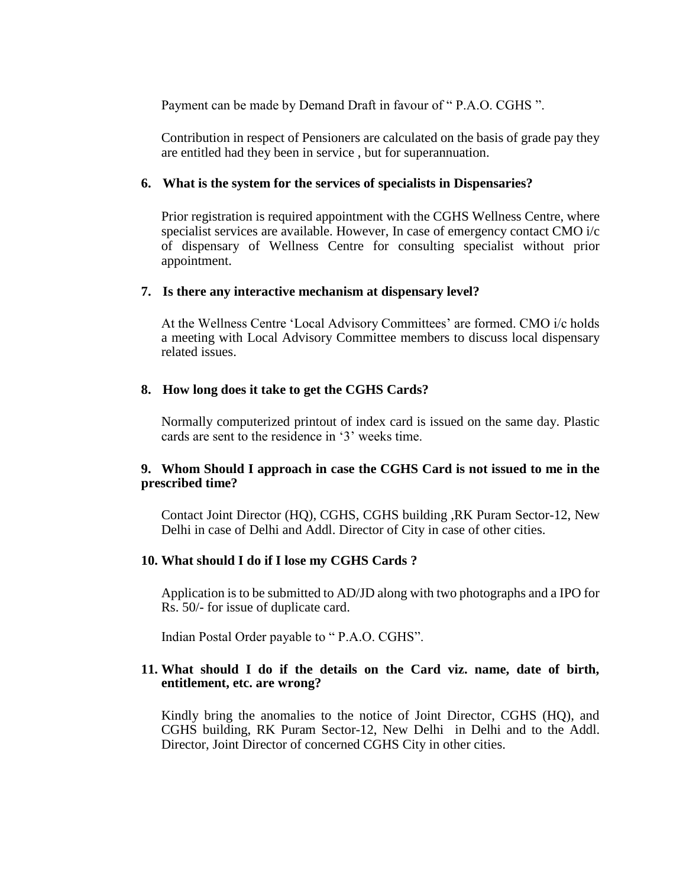Payment can be made by Demand Draft in favour of " P.A.O. CGHS ".

Contribution in respect of Pensioners are calculated on the basis of grade pay they are entitled had they been in service , but for superannuation.

### **6. What is the system for the services of specialists in Dispensaries?**

Prior registration is required appointment with the CGHS Wellness Centre, where specialist services are available. However, In case of emergency contact CMO i/c of dispensary of Wellness Centre for consulting specialist without prior appointment.

#### **7. Is there any interactive mechanism at dispensary level?**

At the Wellness Centre 'Local Advisory Committees' are formed. CMO i/c holds a meeting with Local Advisory Committee members to discuss local dispensary related issues.

### **8. How long does it take to get the CGHS Cards?**

Normally computerized printout of index card is issued on the same day. Plastic cards are sent to the residence in '3' weeks time.

# **9. Whom Should I approach in case the CGHS Card is not issued to me in the prescribed time?**

Contact Joint Director (HQ), CGHS, CGHS building ,RK Puram Sector-12, New Delhi in case of Delhi and Addl. Director of City in case of other cities.

# **10. What should I do if I lose my CGHS Cards ?**

Application is to be submitted to AD/JD along with two photographs and a IPO for Rs. 50/- for issue of duplicate card.

Indian Postal Order payable to " P.A.O. CGHS".

# **11. What should I do if the details on the Card viz. name, date of birth, entitlement, etc. are wrong?**

Kindly bring the anomalies to the notice of Joint Director, CGHS (HQ), and CGHS building, RK Puram Sector-12, New Delhi in Delhi and to the Addl. Director, Joint Director of concerned CGHS City in other cities.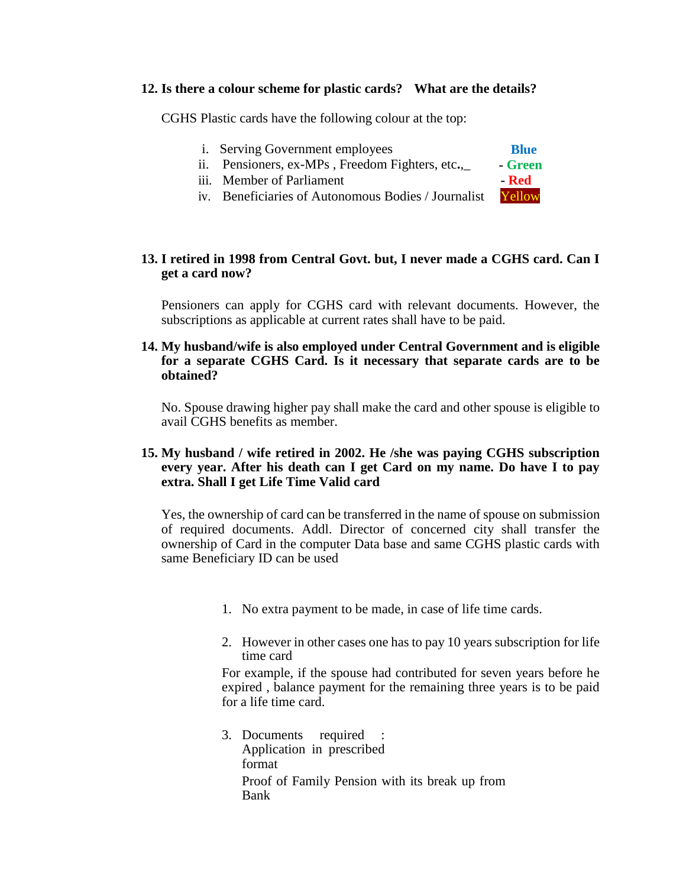### **12. Is there a colour scheme for plastic cards? What are the details?**

CGHS Plastic cards have the following colour at the top:

- i. Serving Government employees **Blue** ii. Pensioners, ex-MPs , Freedom Fighters, etc**.**,\_ **- Green**
- iii. Member of Parliament **- Red**
- iv. Beneficiaries of Autonomous Bodies / Journalist Yellow

### **13. I retired in 1998 from Central Govt. but, I never made a CGHS card. Can I get a card now?**

Pensioners can apply for CGHS card with relevant documents. However, the subscriptions as applicable at current rates shall have to be paid.

### **14. My husband/wife is also employed under Central Government and is eligible for a separate CGHS Card. Is it necessary that separate cards are to be obtained?**

No. Spouse drawing higher pay shall make the card and other spouse is eligible to avail CGHS benefits as member.

### **15. My husband / wife retired in 2002. He /she was paying CGHS subscription every year. After his death can I get Card on my name. Do have I to pay extra. Shall I get Life Time Valid card**

Yes, the ownership of card can be transferred in the name of spouse on submission of required documents. Addl. Director of concerned city shall transfer the ownership of Card in the computer Data base and same CGHS plastic cards with same Beneficiary ID can be used

- 1. No extra payment to be made, in case of life time cards.
- 2. However in other cases one has to pay 10 years subscription for life time card

For example, if the spouse had contributed for seven years before he expired , balance payment for the remaining three years is to be paid for a life time card.

3. Documents required : Application in prescribed format Proof of Family Pension with its break up from Bank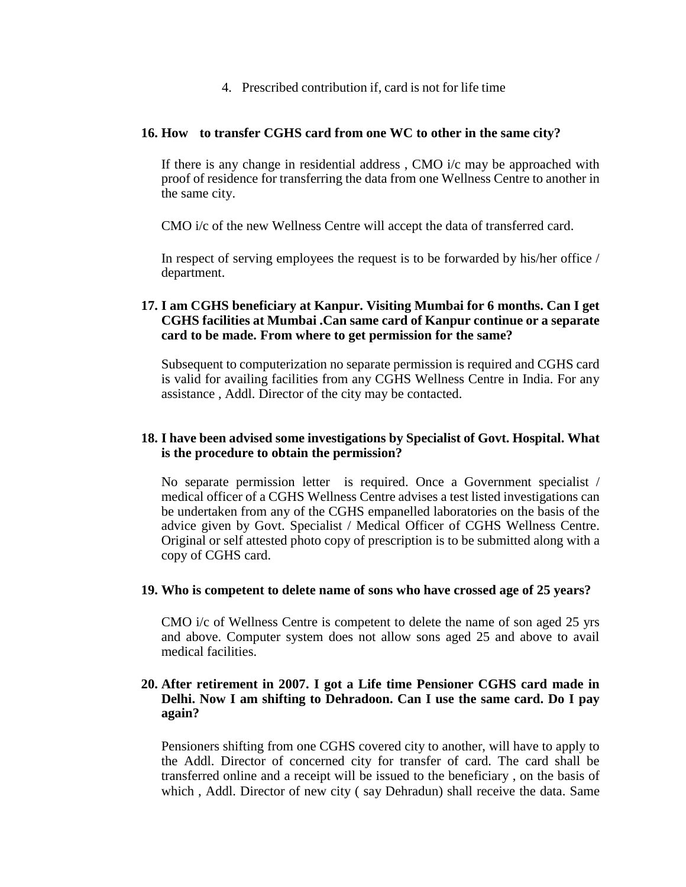4. Prescribed contribution if, card is not for life time

### **16. How to transfer CGHS card from one WC to other in the same city?**

If there is any change in residential address , CMO i/c may be approached with proof of residence for transferring the data from one Wellness Centre to another in the same city.

CMO i/c of the new Wellness Centre will accept the data of transferred card.

In respect of serving employees the request is to be forwarded by his/her office / department.

# **17. I am CGHS beneficiary at Kanpur. Visiting Mumbai for 6 months. Can I get CGHS facilities at Mumbai .Can same card of Kanpur continue or a separate card to be made. From where to get permission for the same?**

Subsequent to computerization no separate permission is required and CGHS card is valid for availing facilities from any CGHS Wellness Centre in India. For any assistance , Addl. Director of the city may be contacted.

### **18. I have been advised some investigations by Specialist of Govt. Hospital. What is the procedure to obtain the permission?**

No separate permission letter is required. Once a Government specialist / medical officer of a CGHS Wellness Centre advises a test listed investigations can be undertaken from any of the CGHS empanelled laboratories on the basis of the advice given by Govt. Specialist / Medical Officer of CGHS Wellness Centre. Original or self attested photo copy of prescription is to be submitted along with a copy of CGHS card.

# **19. Who is competent to delete name of sons who have crossed age of 25 years?**

CMO i/c of Wellness Centre is competent to delete the name of son aged 25 yrs and above. Computer system does not allow sons aged 25 and above to avail medical facilities.

### **20. After retirement in 2007. I got a Life time Pensioner CGHS card made in Delhi. Now I am shifting to Dehradoon. Can I use the same card. Do I pay again?**

Pensioners shifting from one CGHS covered city to another, will have to apply to the Addl. Director of concerned city for transfer of card. The card shall be transferred online and a receipt will be issued to the beneficiary , on the basis of which , Addl. Director of new city ( say Dehradun) shall receive the data. Same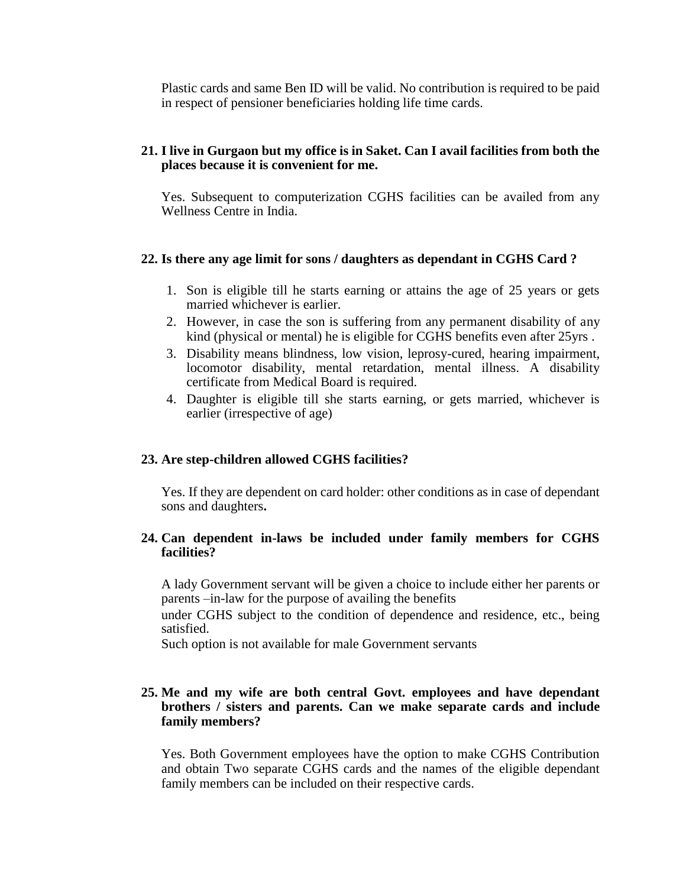Plastic cards and same Ben ID will be valid. No contribution is required to be paid in respect of pensioner beneficiaries holding life time cards.

# **21. I live in Gurgaon but my office is in Saket. Can I avail facilities from both the places because it is convenient for me.**

Yes. Subsequent to computerization CGHS facilities can be availed from any Wellness Centre in India.

# **22. Is there any age limit for sons / daughters as dependant in CGHS Card ?**

- 1. Son is eligible till he starts earning or attains the age of 25 years or gets married whichever is earlier.
- 2. However, in case the son is suffering from any permanent disability of any kind (physical or mental) he is eligible for CGHS benefits even after 25yrs .
- 3. Disability means blindness, low vision, leprosy-cured, hearing impairment, locomotor disability, mental retardation, mental illness. A disability certificate from Medical Board is required.
- 4. Daughter is eligible till she starts earning, or gets married, whichever is earlier (irrespective of age)

# **23. Are step-children allowed CGHS facilities?**

Yes. If they are dependent on card holder: other conditions as in case of dependant sons and daughters**.**

# **24. Can dependent in-laws be included under family members for CGHS facilities?**

A lady Government servant will be given a choice to include either her parents or parents –in-law for the purpose of availing the benefits

under CGHS subject to the condition of dependence and residence, etc., being satisfied.

Such option is not available for male Government servants

### **25. Me and my wife are both central Govt. employees and have dependant brothers / sisters and parents. Can we make separate cards and include family members?**

Yes. Both Government employees have the option to make CGHS Contribution and obtain Two separate CGHS cards and the names of the eligible dependant family members can be included on their respective cards.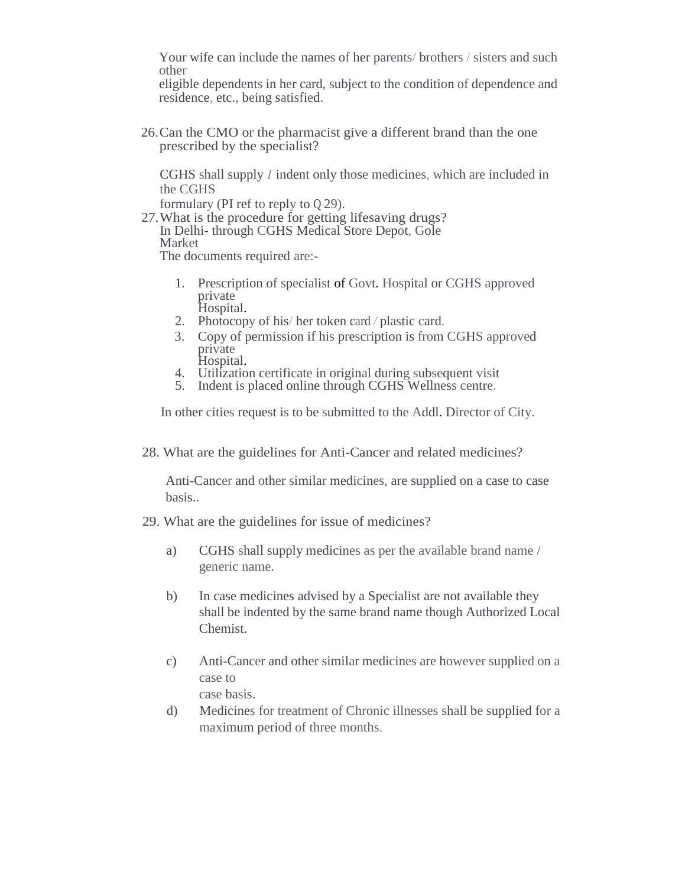Your wife can include the names of her parents/ brothers / sisters and such other

eligible dependents in her card, subject to the condition of dependence and residence, etc., being satisfied.

26.Can the CMO or the pharmacist give a different brand than the one prescribed by the specialist?

CGHS shall supply *I* indent only those medicines, which are included in the CGHS

formulary (PI ref to reply to Q 29).

27.What is the procedure for getting lifesaving drugs? In Delhi- through CGHS Medical Store Depot, Gole Market

The documents required are:-

- 1. Prescription of specialist of Govt. Hospital or CGHS approved private Hospital.
- 2. Photocopy of his/ her token card */* plastic card.
- 3. Copy of permission if his prescription is from CGHS approved private Hospital.
- 4. Utilization certificate in original during subsequent visit
- 5. Indent is placed online through CGHS Wellness centre.

In other cities request is to be submitted to the Addl. Director of City.

28. What are the guidelines for Anti-Cancer and related medicines?

Anti-Cancer and other similar medicines, are supplied on a case to case basis..

- 29. What are the guidelines for issue of medicines?
	- a) CGHS shall supply medicines as per the available brand name / generic name.
	- b) In case medicines advised by a Specialist are not available they shall be indented by the same brand name though Authorized Local Chemist.
	- c) Anti-Cancer and other similar medicines are however supplied on a case to case basis.
	- d) Medicines for treatment of Chronic illnesses shall be supplied for a maximum period of three months.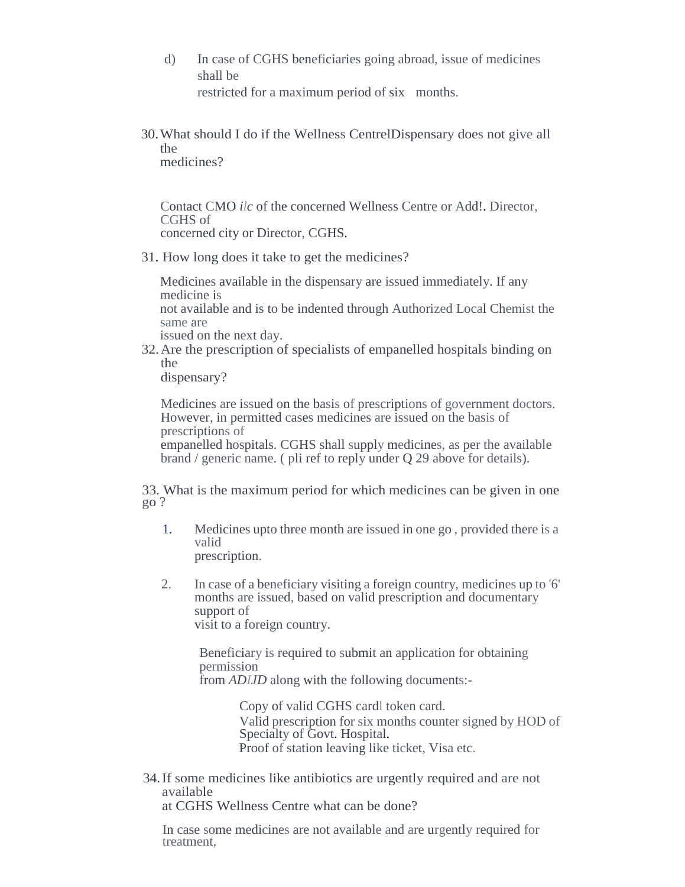d) In case of CGHS beneficiaries going abroad, issue of medicines shall be

restricted for a maximum period of six months.

30.What should I do if the Wellness CentrelDispensary does not give all the medicines?

Contact CMO *ilc* of the concerned Wellness Centre or Add!. Director, CGHS of concerned city or Director, CGHS.

31. How long does it take to get the medicines?

Medicines available in the dispensary are issued immediately. If any medicine is

not available and is to be indented through Authorized Local Chemist the same are

issued on the next day.

32.Are the prescription of specialists of empanelled hospitals binding on the

dispensary?

Medicines are issued on the basis of prescriptions of government doctors. However, in permitted cases medicines are issued on the basis of prescriptions of

empanelled hospitals. CGHS shall supply medicines, as per the available brand / generic name. ( pli ref to reply under Q 29 above for details).

33. What is the maximum period for which medicines can be given in one go ?

- 1. Medicines upto three month are issued in one go , provided there is a valid prescription.
- 2. In case of a beneficiary visiting a foreign country, medicines up to '6' months are issued, based on valid prescription and documentary support of visit to a foreign country.

Beneficiary is required to submit an application for obtaining permission from *ADIJD* along with the following documents:-

> Copy of valid CGHS cardl token card. Valid prescription for six months counter signed by HOD of Specialty of Govt. Hospital. Proof of station leaving like ticket, Visa etc.

34.If some medicines like antibiotics are urgently required and are not available

at CGHS Wellness Centre what can be done?

In case some medicines are not available and are urgently required for treatment,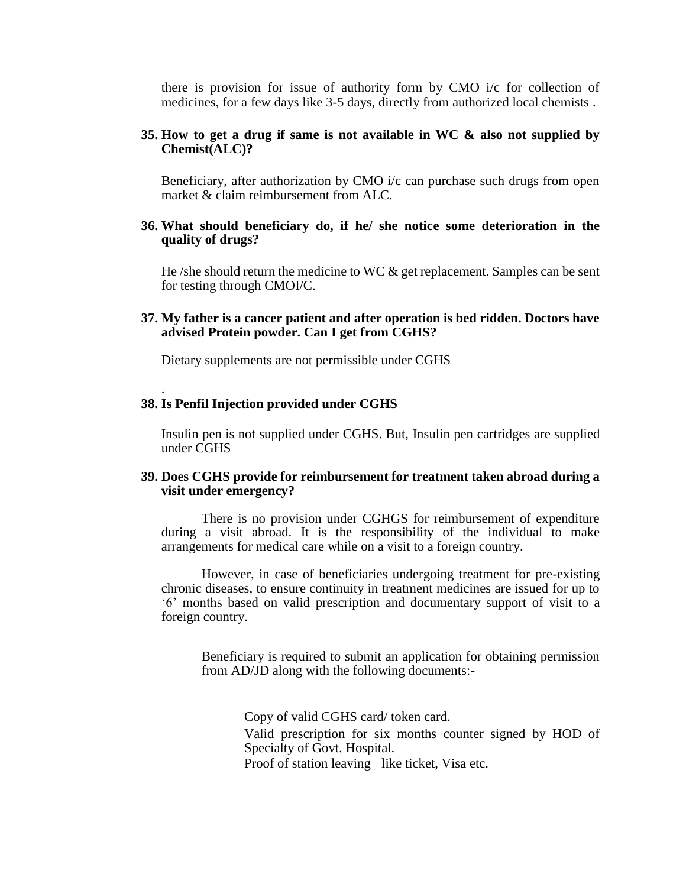there is provision for issue of authority form by CMO i/c for collection of medicines, for a few days like 3-5 days, directly from authorized local chemists .

#### **35. How to get a drug if same is not available in WC & also not supplied by Chemist(ALC)?**

Beneficiary, after authorization by CMO i/c can purchase such drugs from open market & claim reimbursement from ALC.

#### **36. What should beneficiary do, if he/ she notice some deterioration in the quality of drugs?**

He /she should return the medicine to WC  $\&$  get replacement. Samples can be sent for testing through CMOI/C.

### **37. My father is a cancer patient and after operation is bed ridden. Doctors have advised Protein powder. Can I get from CGHS?**

Dietary supplements are not permissible under CGHS

#### **38. Is Penfil Injection provided under CGHS**

.

Insulin pen is not supplied under CGHS. But, Insulin pen cartridges are supplied under CGHS

#### **39. Does CGHS provide for reimbursement for treatment taken abroad during a visit under emergency?**

There is no provision under CGHGS for reimbursement of expenditure during a visit abroad. It is the responsibility of the individual to make arrangements for medical care while on a visit to a foreign country.

However, in case of beneficiaries undergoing treatment for pre-existing chronic diseases, to ensure continuity in treatment medicines are issued for up to '6' months based on valid prescription and documentary support of visit to a foreign country.

Beneficiary is required to submit an application for obtaining permission from AD/JD along with the following documents:-

> Copy of valid CGHS card/ token card. Valid prescription for six months counter signed by HOD of Specialty of Govt. Hospital. Proof of station leaving like ticket, Visa etc.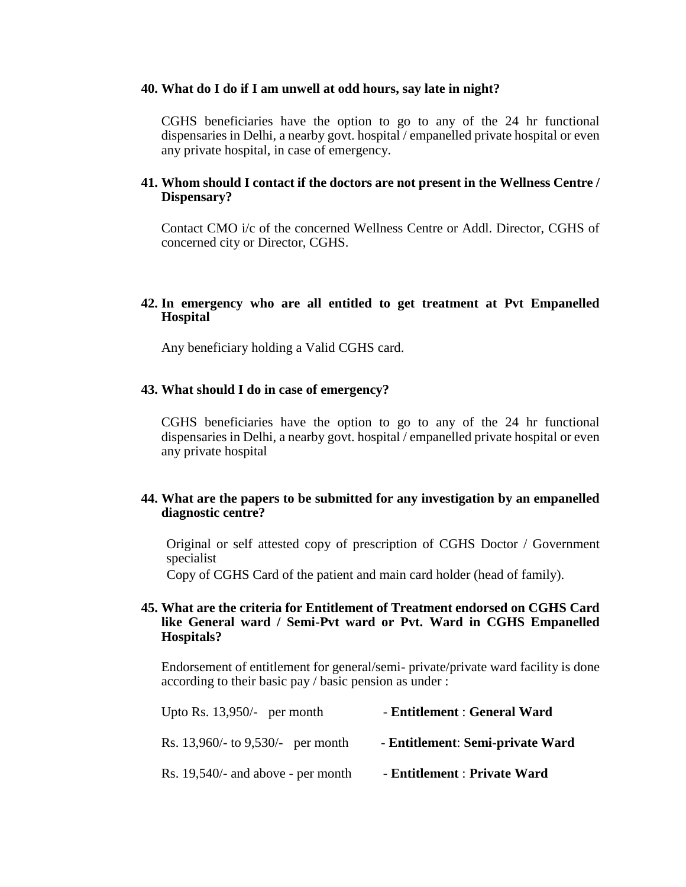#### **40. What do I do if I am unwell at odd hours, say late in night?**

CGHS beneficiaries have the option to go to any of the 24 hr functional dispensaries in Delhi, a nearby govt. hospital / empanelled private hospital or even any private hospital, in case of emergency.

#### **41. Whom should I contact if the doctors are not present in the Wellness Centre / Dispensary?**

Contact CMO i/c of the concerned Wellness Centre or Addl. Director, CGHS of concerned city or Director, CGHS.

### **42. In emergency who are all entitled to get treatment at Pvt Empanelled Hospital**

Any beneficiary holding a Valid CGHS card.

#### **43. What should I do in case of emergency?**

CGHS beneficiaries have the option to go to any of the 24 hr functional dispensaries in Delhi, a nearby govt. hospital / empanelled private hospital or even any private hospital

### **44. What are the papers to be submitted for any investigation by an empanelled diagnostic centre?**

Original or self attested copy of prescription of CGHS Doctor / Government specialist

Copy of CGHS Card of the patient and main card holder (head of family).

#### **45. What are the criteria for Entitlement of Treatment endorsed on CGHS Card like General ward / Semi-Pvt ward or Pvt. Ward in CGHS Empanelled Hospitals?**

Endorsement of entitlement for general/semi- private/private ward facility is done according to their basic pay / basic pension as under :

| Upto Rs. $13,950/-$ per month           | - Entitlement : General Ward     |
|-----------------------------------------|----------------------------------|
| Rs. $13,960/$ - to $9,530/$ - per month | - Entitlement: Semi-private Ward |
| Rs. 19,540/- and above - per month      | - Entitlement : Private Ward     |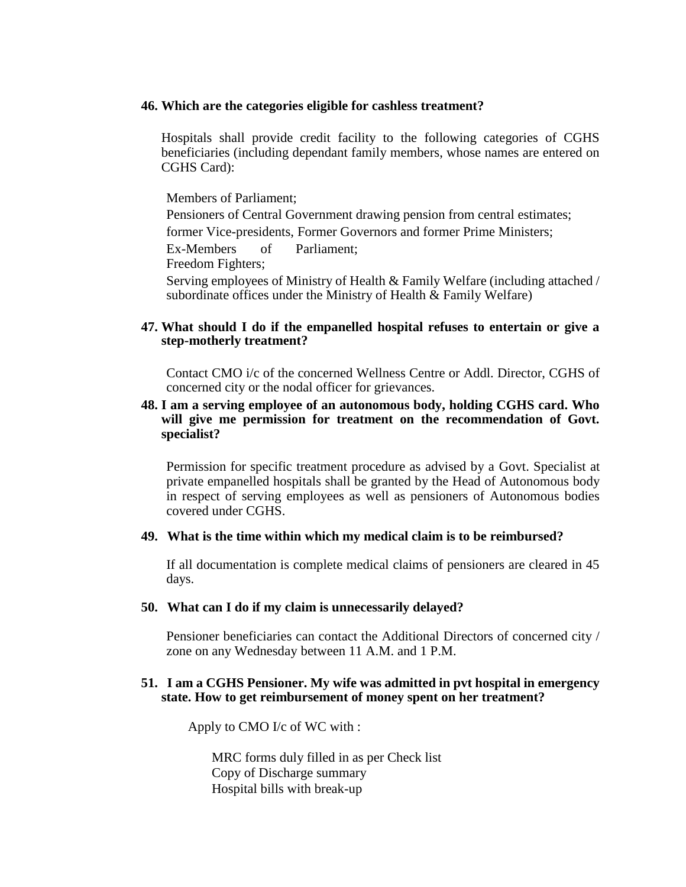#### **46. Which are the categories eligible for cashless treatment?**

Hospitals shall provide credit facility to the following categories of CGHS beneficiaries (including dependant family members, whose names are entered on CGHS Card):

Members of Parliament;

Pensioners of Central Government drawing pension from central estimates; former Vice-presidents, Former Governors and former Prime Ministers;

Ex-Members of Parliament;

Freedom Fighters;

Serving employees of Ministry of Health & Family Welfare (including attached / subordinate offices under the Ministry of Health & Family Welfare)

### **47. What should I do if the empanelled hospital refuses to entertain or give a step-motherly treatment?**

Contact CMO i/c of the concerned Wellness Centre or Addl. Director, CGHS of concerned city or the nodal officer for grievances.

### **48. I am a serving employee of an autonomous body, holding CGHS card. Who will give me permission for treatment on the recommendation of Govt. specialist?**

Permission for specific treatment procedure as advised by a Govt. Specialist at private empanelled hospitals shall be granted by the Head of Autonomous body in respect of serving employees as well as pensioners of Autonomous bodies covered under CGHS.

#### **49. What is the time within which my medical claim is to be reimbursed?**

If all documentation is complete medical claims of pensioners are cleared in 45 days.

#### **50. What can I do if my claim is unnecessarily delayed?**

Pensioner beneficiaries can contact the Additional Directors of concerned city / zone on any Wednesday between 11 A.M. and 1 P.M.

#### **51. I am a CGHS Pensioner. My wife was admitted in pvt hospital in emergency state. How to get reimbursement of money spent on her treatment?**

Apply to CMO I/c of WC with :

MRC forms duly filled in as per Check list Copy of Discharge summary Hospital bills with break-up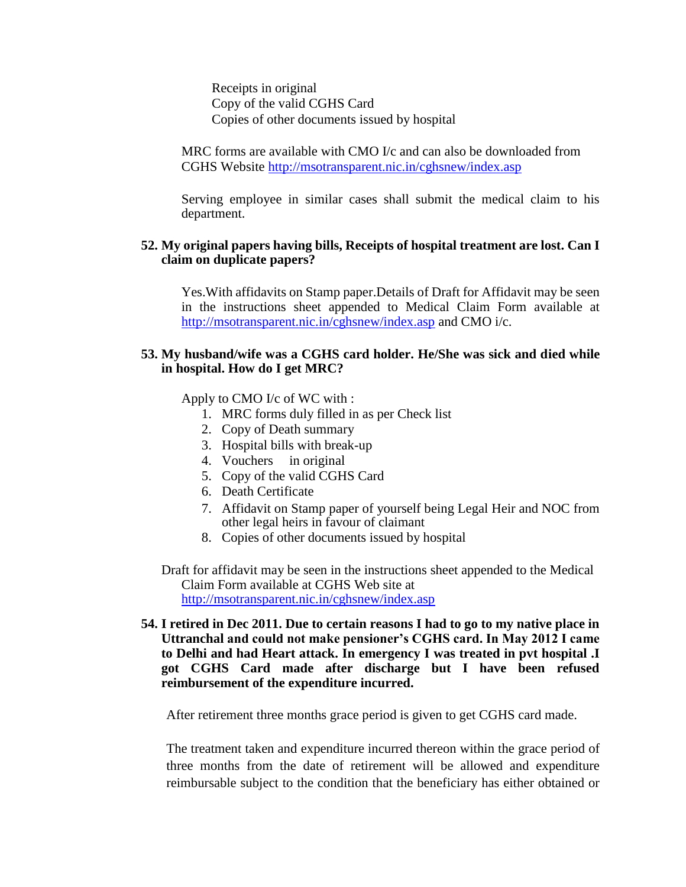Receipts in original Copy of the valid CGHS Card Copies of other documents issued by hospital

MRC forms are available with CMO I/c and can also be downloaded from CGHS Website http://msotransparent.nic.in/cghsnew/index.asp

Serving employee in similar cases shall submit the medical claim to his department.

### **52. My original papers having bills, Receipts of hospital treatment are lost. Can I claim on duplicate papers?**

Yes.With affidavits on Stamp paper.Details of Draft for Affidavit may be seen in the instructions sheet appended to Medical Claim Form available at http://msotransparent.nic.in/cghsnew/index.asp and CMO i/c.

### **53. My husband/wife was a CGHS card holder. He/She was sick and died while in hospital. How do I get MRC?**

Apply to CMO I/c of WC with :

- 1. MRC forms duly filled in as per Check list
- 2. Copy of Death summary
- 3. Hospital bills with break-up
- 4. Vouchers in original
- 5. Copy of the valid CGHS Card
- 6. Death Certificate
- 7. Affidavit on Stamp paper of yourself being Legal Heir and NOC from other legal heirs in favour of claimant
- 8. Copies of other documents issued by hospital
- Draft for affidavit may be seen in the instructions sheet appended to the Medical Claim Form available at CGHS Web site at http://msotransparent.nic.in/cghsnew/index.asp
- **54. I retired in Dec 2011. Due to certain reasons I had to go to my native place in Uttranchal and could not make pensioner's CGHS card. In May 2012 I came to Delhi and had Heart attack. In emergency I was treated in pvt hospital .I got CGHS Card made after discharge but I have been refused reimbursement of the expenditure incurred.**

After retirement three months grace period is given to get CGHS card made.

The treatment taken and expenditure incurred thereon within the grace period of three months from the date of retirement will be allowed and expenditure reimbursable subject to the condition that the beneficiary has either obtained or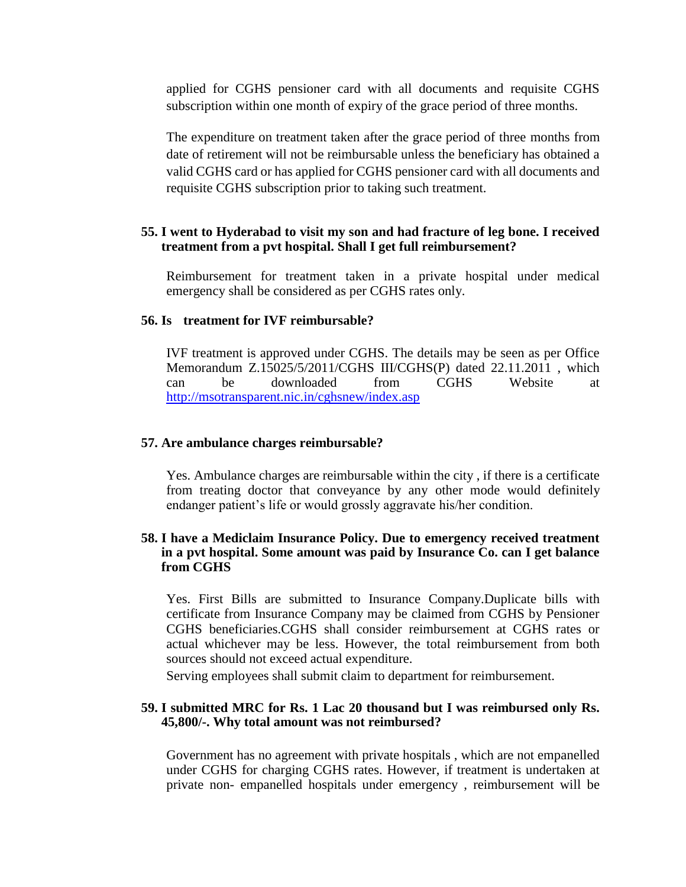applied for CGHS pensioner card with all documents and requisite CGHS subscription within one month of expiry of the grace period of three months.

The expenditure on treatment taken after the grace period of three months from date of retirement will not be reimbursable unless the beneficiary has obtained a valid CGHS card or has applied for CGHS pensioner card with all documents and requisite CGHS subscription prior to taking such treatment.

# **55. I went to Hyderabad to visit my son and had fracture of leg bone. I received treatment from a pvt hospital. Shall I get full reimbursement?**

Reimbursement for treatment taken in a private hospital under medical emergency shall be considered as per CGHS rates only.

# **56. Is treatment for IVF reimbursable?**

IVF treatment is approved under CGHS. The details may be seen as per Office Memorandum Z.15025/5/2011/CGHS III/CGHS(P) dated 22.11.2011 , which can be downloaded from CGHS Website at <http://msotransparent.nic.in/cghsnew/index.asp>

#### **57. Are ambulance charges reimbursable?**

Yes. Ambulance charges are reimbursable within the city , if there is a certificate from treating doctor that conveyance by any other mode would definitely endanger patient's life or would grossly aggravate his/her condition.

### **58. I have a Mediclaim Insurance Policy. Due to emergency received treatment in a pvt hospital. Some amount was paid by Insurance Co. can I get balance from CGHS**

Yes. First Bills are submitted to Insurance Company.Duplicate bills with certificate from Insurance Company may be claimed from CGHS by Pensioner CGHS beneficiaries.CGHS shall consider reimbursement at CGHS rates or actual whichever may be less. However, the total reimbursement from both sources should not exceed actual expenditure.

Serving employees shall submit claim to department for reimbursement.

### **59. I submitted MRC for Rs. 1 Lac 20 thousand but I was reimbursed only Rs. 45,800/-. Why total amount was not reimbursed?**

Government has no agreement with private hospitals , which are not empanelled under CGHS for charging CGHS rates. However, if treatment is undertaken at private non- empanelled hospitals under emergency , reimbursement will be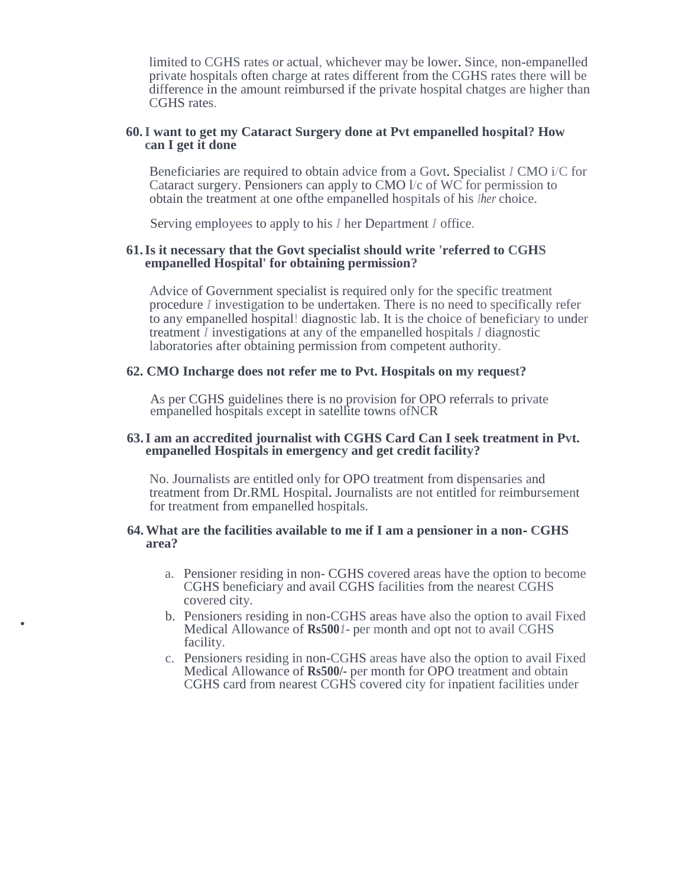limited to CGHS rates or actual, whichever may be lower. Since, non-empanelled private hospitals often charge at rates different from the CGHS rates there will be difference in the amount reimbursed if the private hospital chatges are higher than CGHS rates.

#### **60.I want to get my Cataract Surgery done at Pvt empanelled hospital? How can I get it done**

Beneficiaries are required to obtain advice from a Govt. Specialist *I* CMO i/C for Cataract surgery. Pensioners can apply to CMO l/c of WC for permission to obtain the treatment at one ofthe empanelled hospitals of his *Iher* choice.

Serving employees to apply to his *I* her Department *I* office.

### **61.Is it necessary that the Govt specialist should write 'referred to CGHS empanelled Hospital' for obtaining permission?**

Advice of Government specialist is required only for the specific treatment procedure *I* investigation to be undertaken. There is no need to specifically refer to any empanelled hospital! diagnostic lab. It is the choice of beneficiary to under treatment *I* investigations at any of the empanelled hospitals *I* diagnostic laboratories after obtaining permission from competent authority.

#### **62. CMO Incharge does not refer me to Pvt. Hospitals on my request?**

As per CGHS guidelines there is no provision for OPO referrals to private empanelled hospitals except in satellite towns ofNCR

### **63.I am an accredited journalist with CGHS Card Can I seek treatment in Pvt. empanelled Hospitals in emergency and get credit facility?**

No. Journalists are entitled only for OPO treatment from dispensaries and treatment from Dr.RML Hospital. Journalists are not entitled for reimbursement for treatment from empanelled hospitals.

#### **64.What are the facilities available to me if I am a pensioner in a non- CGHS area?**

•

- a. Pensioner residing in non- CGHS covered areas have the option to become CGHS beneficiary and avail CGHS facilities from the nearest CGHS covered city.
- b. Pensioners residing in non-CGHS areas have also the option to avail Fixed Medical Allowance of **Rs500***1-* per month and opt not to avail CGHS facility.
- c. Pensioners residing in non-CGHS areas have also the option to avail Fixed Medical Allowance of **Rs500/-** per month for OPO treatment and obtain CGHS card from nearest CGHS covered city for inpatient facilities under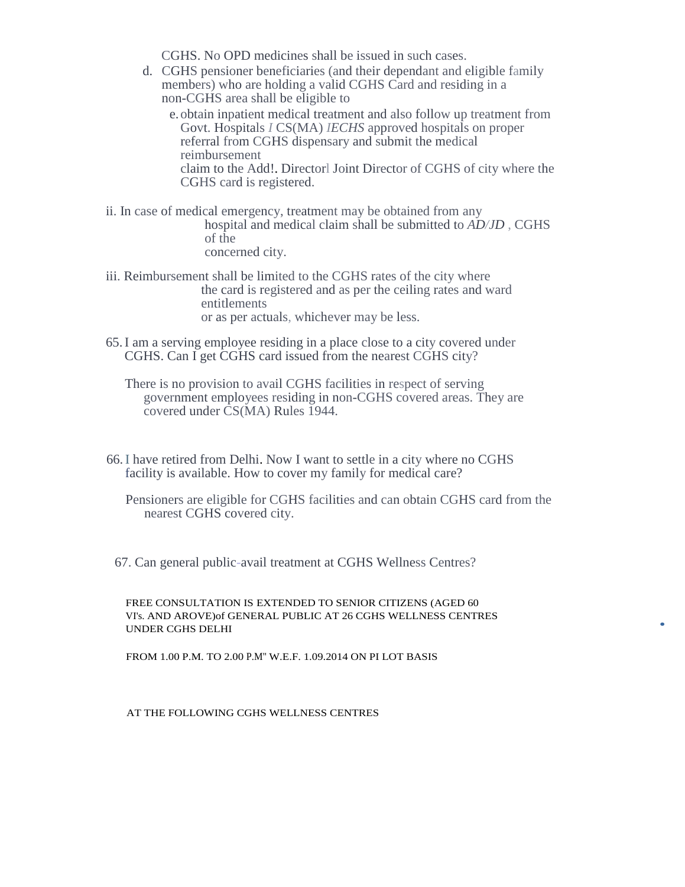CGHS. No OPD medicines shall be issued in such cases.

d. CGHS pensioner beneficiaries (and their dependant and eligible family members) who are holding a valid CGHS Card and residing in a non-CGHS area shall be eligible to

e. obtain inpatient medical treatment and also follow up treatment from Govt. Hospitals *I* CS(MA) *IECHS* approved hospitals on proper referral from CGHS dispensary and submit the medical reimbursement claim to the Add!. Directorl Joint Director of CGHS of city where the CGHS card is registered.

- ii. In case of medical emergency, treatment may be obtained from any hospital and medical claim shall be submitted to *AD/JD* , CGHS of the concerned city.
- iii. Reimbursement shall be limited to the CGHS rates of the city where the card is registered and as per the ceiling rates and ward entitlements or as per actuals, whichever may be less.
- 65.I am a serving employee residing in a place close to a city covered under CGHS. Can I get CGHS card issued from the nearest CGHS city?

There is no provision to avail CGHS facilities in respect of serving government employees residing in non-CGHS covered areas. They are covered under CS(MA) Rules 1944.

- 66.I have retired from Delhi. Now I want to settle in a city where no CGHS facility is available. How to cover my family for medical care?
	- Pensioners are eligible for CGHS facilities and can obtain CGHS card from the nearest CGHS covered city.

•

67. Can general public-avail treatment at CGHS Wellness Centres?

FREE CONSULTATION IS EXTENDED TO SENIOR CITIZENS (AGED 60 VI's. AND AROVE)of GENERAL PUBLIC AT 26 CGHS WELLNESS CENTRES UNDER CGHS DELHI

FROM 1.00 P.M. TO 2.00 P.M" W.E.F. 1.09.2014 ON PI LOT BASIS

AT THE FOLLOWING CGHS WELLNESS CENTRES